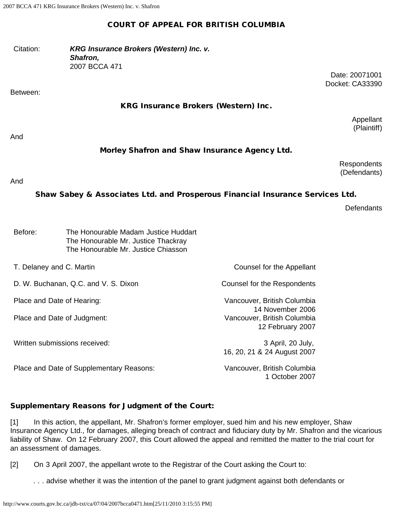## COURT OF APPEAL FOR BRITISH COLUMBIA

| Citation: | KRG Insurance Brokers (Western) Inc. v. |
|-----------|-----------------------------------------|
|           | <b>Shafron,</b>                         |
|           | 2007 BCCA 471                           |

Between:

### KRG Insurance Brokers (Western) Inc.

Appellant (Plaintiff)

Date: 20071001 Docket: CA33390

And

## Morley Shafron and Shaw Insurance Agency Ltd.

**Respondents** (Defendants)

#### And

# Shaw Sabey & Associates Ltd. and Prosperous Financial Insurance Services Ltd.

**Defendants** 

| The Honourable Madam Justice Huddart |
|--------------------------------------|
| The Honourable Mr. Justice Thackray  |
| The Honourable Mr. Justice Chiasson  |
|                                      |

T. Delaney and C. Martin Counsel for the Appellant

D. W. Buchanan, Q.C. and V. S. Dixon Counsel for the Respondents

Place and Date of Judgment: Vancouver, British Columbia

Written submissions received:  $\frac{3}{2}$  April, 20 July,

Place and Date of Supplementary Reasons: Vancouver, British Columbia

Place and Date of Hearing: Vancouver, British Columbia 14 November 2006 12 February 2007

16, 20, 21 & 24 August 2007

1 October 2007

## Supplementary Reasons for Judgment of the Court:

[1] In this action, the appellant, Mr. Shafron's former employer, sued him and his new employer, Shaw Insurance Agency Ltd., for damages, alleging breach of contract and fiduciary duty by Mr. Shafron and the vicarious liability of Shaw. On 12 February 2007, this Court allowed the appeal and remitted the matter to the trial court for an assessment of damages.

[2] On 3 April 2007, the appellant wrote to the Registrar of the Court asking the Court to:

. . . advise whether it was the intention of the panel to grant judgment against both defendants or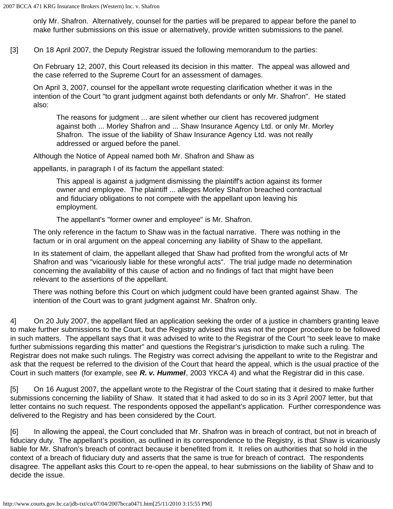only Mr. Shafron. Alternatively, counsel for the parties will be prepared to appear before the panel to make further submissions on this issue or alternatively, provide written submissions to the panel.

[3] On 18 April 2007, the Deputy Registrar issued the following memorandum to the parties:

On February 12, 2007, this Court released its decision in this matter. The appeal was allowed and the case referred to the Supreme Court for an assessment of damages.

On April 3, 2007, counsel for the appellant wrote requesting clarification whether it was in the intention of the Court "to grant judgment against both defendants or only Mr. Shafron". He stated also:

The reasons for judgment ... are silent whether our client has recovered judgment against both ... Morley Shafron and ... Shaw Insurance Agency Ltd. or only Mr. Morley Shafron. The issue of the liability of Shaw Insurance Agency Ltd. was not really addressed or argued before the panel.

Although the Notice of Appeal named both Mr. Shafron and Shaw as

appellants, in paragraph I of its factum the appellant stated:

This appeal is against a judgment dismissing the plaintiff's action against its former owner and employee. The plaintiff ... alleges Morley Shafron breached contractual and fiduciary obligations to not compete with the appellant upon leaving his employment.

The appellant's "former owner and employee" is Mr. Shafron.

The only reference in the factum to Shaw was in the factual narrative. There was nothing in the factum or in oral argument on the appeal concerning any liability of Shaw to the appellant.

In its statement of claim, the appellant alleged that Shaw had profited from the wrongful acts of Mr Shafron and was "vicariously liable for these wrongful acts". The trial judge made no determination concerning the availability of this cause of action and no findings of fact that might have been relevant to the assertions of the appellant.

There was nothing before this Court on which judgment could have been granted against Shaw. The intention of the Court was to grant judgment against Mr. Shafron only.

4] On 20 July 2007, the appellant filed an application seeking the order of a justice in chambers granting leave to make further submissions to the Court, but the Registry advised this was not the proper procedure to be followed in such matters. The appellant says that it was advised to write to the Registrar of the Court "to seek leave to make further submissions regarding this matter" and questions the Registrar's jurisdiction to make such a ruling. The Registrar does not make such rulings. The Registry was correct advising the appellant to write to the Registrar and ask that the request be referred to the division of the Court that heard the appeal, which is the usual practice of the Court in such matters (for example, see *R. v. Hummel*, 2003 YKCA 4) and what the Registrar did in this case.

[5] On 16 August 2007, the appellant wrote to the Registrar of the Court stating that it desired to make further submissions concerning the liability of Shaw. It stated that it had asked to do so in its 3 April 2007 letter, but that letter contains no such request. The respondents opposed the appellant's application. Further correspondence was delivered to the Registry and has been considered by the Court.

[6] In allowing the appeal, the Court concluded that Mr. Shafron was in breach of contract, but not in breach of fiduciary duty. The appellant's position, as outlined in its correspondence to the Registry, is that Shaw is vicariously liable for Mr. Shafron's breach of contract because it benefited from it. It relies on authorities that so hold in the context of a breach of fiduciary duty and asserts that the same is true for breach of contract. The respondents disagree. The appellant asks this Court to re-open the appeal, to hear submissions on the liability of Shaw and to decide the issue.